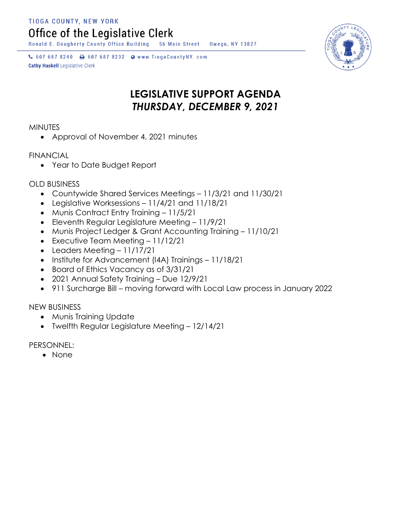TIOGA COUNTY, NEW YORK

Office of the Legislative Clerk

Ronald E. Dougherty County Office Building 56 Main Street Owego, NY 13827

↓ 607 687 8240 → 607 687 8232 → www.TiogaCountyNY.com **Cathy Haskell Legislative Clerk** 

## **LEGISLATIVE SUPPORT AGENDA** *THURSDAY, DECEMBER 9, 2021*

**MINUTES** 

Approval of November 4, 2021 minutes

## FINANCIAL

Year to Date Budget Report

OLD BUSINESS

- Countywide Shared Services Meetings 11/3/21 and 11/30/21
- Legislative Worksessions 11/4/21 and 11/18/21
- Munis Contract Entry Training 11/5/21
- Eleventh Regular Legislature Meeting 11/9/21
- Munis Project Ledger & Grant Accounting Training 11/10/21
- Executive Team Meeting 11/12/21
- Leaders Meeting 11/17/21
- Institute for Advancement (I4A) Trainings 11/18/21
- Board of Ethics Vacancy as of 3/31/21
- 2021 Annual Safety Training Due 12/9/21
- 911 Surcharge Bill moving forward with Local Law process in January 2022

NEW BUSINESS

- Munis Training Update
- Twelfth Regular Legislature Meeting 12/14/21

PERSONNEL:

• None